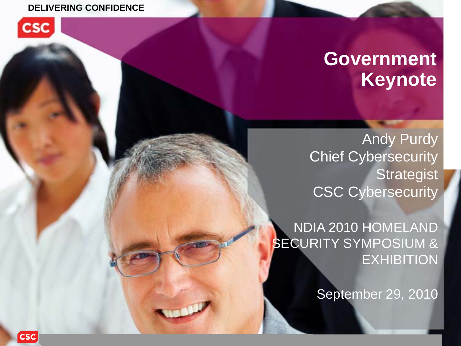#### **DELIVERING CONFIDENCE**



# **Government Keynote**

Andy Purdy Chief Cybersecurity **Strategist** CSC Cybersecurity

NDIA 2010 HOMELAND SECURITY SYMPOSIUM & **EXHIBITION** 

September 29, 2010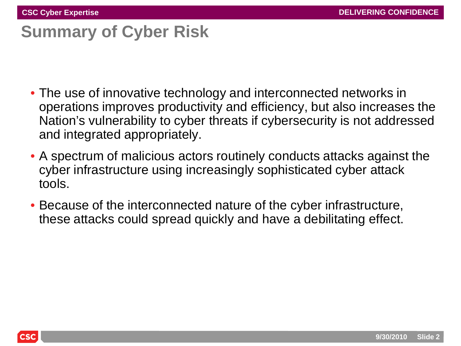# **Summary of Cyber Risk**

- The use of innovative technology and interconnected networks in operations improves productivity and efficiency, but also increases the Nation's vulnerability to cyber threats if cybersecurity is not addressed and integrated appropriately.
- A spectrum of malicious actors routinely conducts attacks against the cyber infrastructure using increasingly sophisticated cyber attack tools.
- Because of the interconnected nature of the cyber infrastructure, these attacks could spread quickly and have a debilitating effect.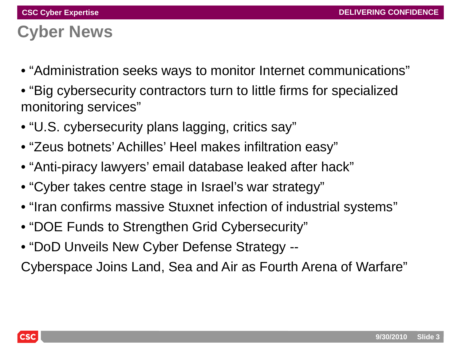# **Cyber News**

- "Administration seeks ways to monitor Internet communications"
- "Big cybersecurity contractors turn to little firms for specialized monitoring services"
- "U.S. cybersecurity plans lagging, critics say"
- "Zeus botnets' Achilles' Heel makes infiltration easy"
- "Anti-piracy lawyers' email database leaked after hack"
- "Cyber takes centre stage in Israel's war strategy"
- "Iran confirms massive Stuxnet infection of industrial systems"
- "DOE Funds to Strengthen Grid Cybersecurity"
- "DoD Unveils New Cyber Defense Strategy --

Cyberspace Joins Land, Sea and Air as Fourth Arena of Warfare"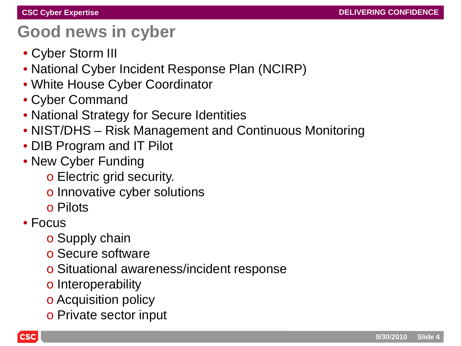## **Good news in cyber**

- Cyber Storm III
- National Cyber Incident Response Plan (NCIRP)
- White House Cyber Coordinator
- Cyber Command
- National Strategy for Secure Identities
- NIST/DHS Risk Management and Continuous Monitoring
- DIB Program and IT Pilot
- New Cyber Funding
	- o Electric grid security.
	- o Innovative cyber solutions
	- o Pilots
- Focus
	- o Supply chain
	- o Secure software
	- o Situational awareness/incident response
	- o Interoperability
	- o Acquisition policy
	- o Private sector input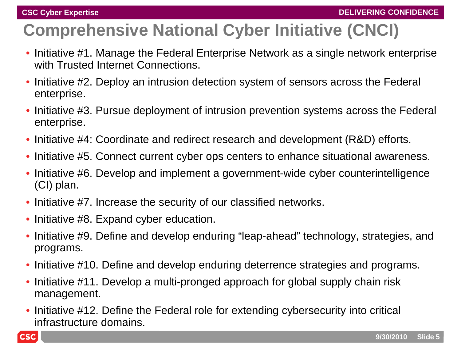# **Comprehensive National Cyber Initiative (CNCI)**

- Initiative #1. Manage the Federal Enterprise Network as a single network enterprise with Trusted Internet Connections.
- Initiative #2. Deploy an intrusion detection system of sensors across the Federal enterprise.
- Initiative #3. Pursue deployment of intrusion prevention systems across the Federal enterprise.
- Initiative #4: Coordinate and redirect research and development (R&D) efforts.
- Initiative #5. Connect current cyber ops centers to enhance situational awareness.
- Initiative #6. Develop and implement a government-wide cyber counterintelligence (CI) plan.
- Initiative #7. Increase the security of our classified networks.
- Initiative #8. Expand cyber education.
- Initiative #9. Define and develop enduring "leap-ahead" technology, strategies, and programs.
- Initiative #10. Define and develop enduring deterrence strategies and programs.
- Initiative #11. Develop a multi-pronged approach for global supply chain risk management.
- Initiative #12. Define the Federal role for extending cybersecurity into critical infrastructure domains.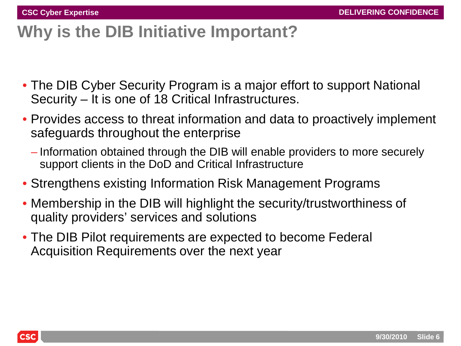# **Why is the DIB Initiative Important?**

- The DIB Cyber Security Program is a major effort to support National Security – It is one of 18 Critical Infrastructures.
- Provides access to threat information and data to proactively implement safeguards throughout the enterprise
	- Information obtained through the DIB will enable providers to more securely support clients in the DoD and Critical Infrastructure
- Strengthens existing Information Risk Management Programs
- Membership in the DIB will highlight the security/trustworthiness of quality providers' services and solutions
- The DIB Pilot requirements are expected to become Federal Acquisition Requirements over the next year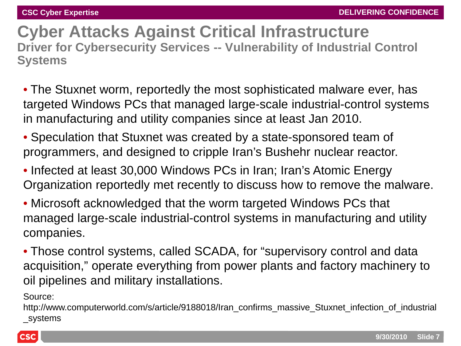**Cyber Attacks Against Critical Infrastructure Driver for Cybersecurity Services -- Vulnerability of Industrial Control Systems**

- The Stuxnet worm, reportedly the most sophisticated malware ever, has targeted Windows PCs that managed large-scale industrial-control systems in manufacturing and utility companies since at least Jan 2010.
- Speculation that Stuxnet was created by a state-sponsored team of programmers, and designed to cripple Iran's Bushehr nuclear reactor.
- Infected at least 30,000 Windows PCs in Iran; Iran's Atomic Energy Organization reportedly met recently to discuss how to remove the malware.
- Microsoft acknowledged that the worm targeted Windows PCs that managed large-scale industrial-control systems in manufacturing and utility companies.
- Those control systems, called SCADA, for "supervisory control and data acquisition," operate everything from power plants and factory machinery to oil pipelines and military installations.

Source:

http://www.computerworld.com/s/article/9188018/Iran\_confirms\_massive\_Stuxnet\_infection\_of\_industrial \_systems

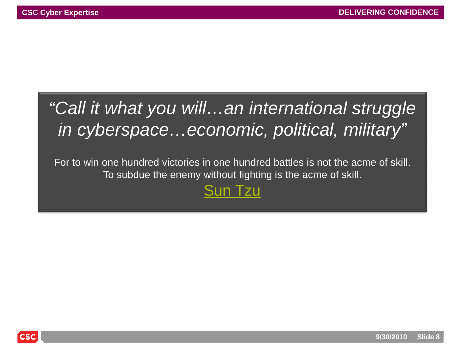# *"Call it what you will…an international struggle in cyberspace…economic, political, military"*

For to win one hundred victories in one hundred battles is not the acme of skill. To subdue the enemy without fighting is the acme of skill.

#### [Sun Tzu](http://www.brainyquote.com/quotes/quotes/s/suntzu138179.html)

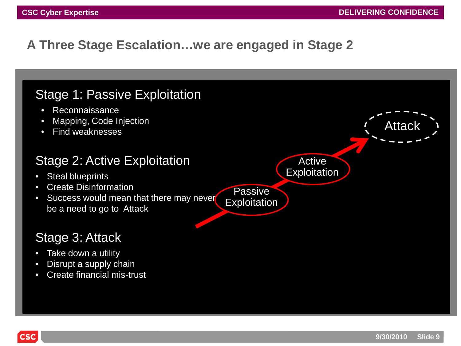Attac

#### **A Three Stage Escalation…we are engaged in Stage 2**

#### Stage 1: Passive Exploitation

- Reconnaissance
- Mapping, Code Injection
- Find weaknesses

#### Stage 2: Active Exploitation

- Steal blueprints
- Create Disinformation
- Success would mean that there may never be a need to go to Attack

#### Stage 3: Attack

- Take down a utility
- Disrupt a supply chain
- Create financial mis-trust

**Active Exploitation** 

**Passive Exploitation**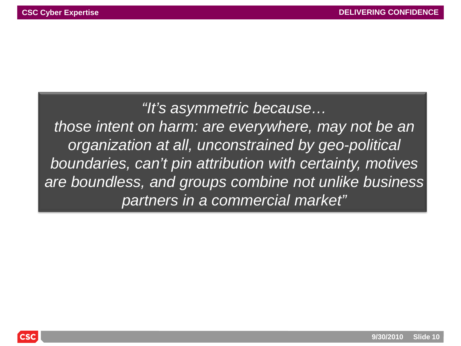*"It's asymmetric because… those intent on harm: are everywhere, may not be an organization at all, unconstrained by geo-political boundaries, can't pin attribution with certainty, motives are boundless, and groups combine not unlike business partners in a commercial market"* 

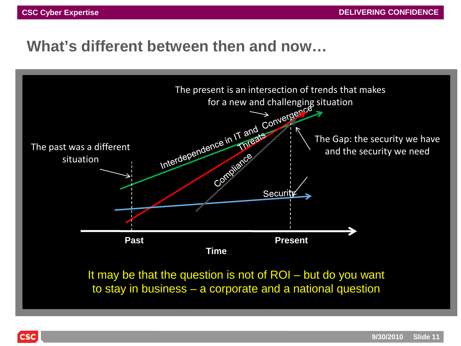#### **What's different between then and now…**

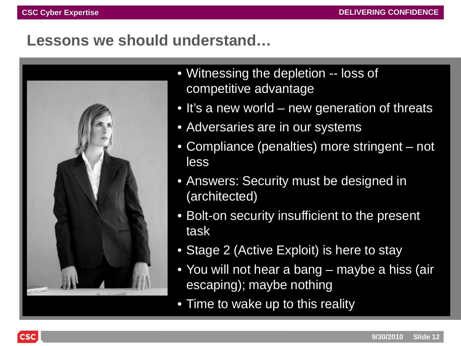#### **Lessons we should understand…**

![](_page_11_Picture_3.jpeg)

- Witnessing the depletion -- loss of competitive advantage
- It's a new world new generation of threats
- Adversaries are in our systems
- Compliance (penalties) more stringent not less
- Answers: Security must be designed in (architected)
- Bolt-on security insufficient to the present task
- Stage 2 (Active Exploit) is here to stay
- You will not hear a bang maybe a hiss (air escaping); maybe nothing
- Time to wake up to this reality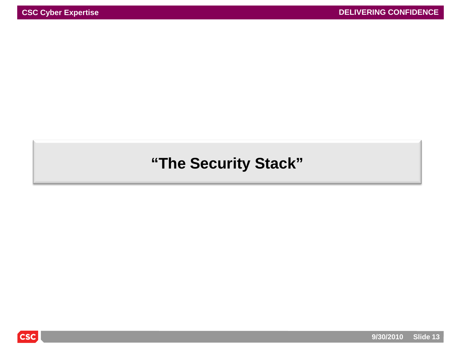#### **"The Security Stack"**

![](_page_12_Picture_4.jpeg)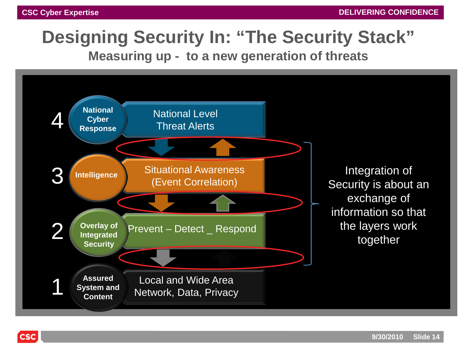# **Designing Security In: "The Security Stack"**

**Measuring up - to a new generation of threats**

![](_page_13_Figure_4.jpeg)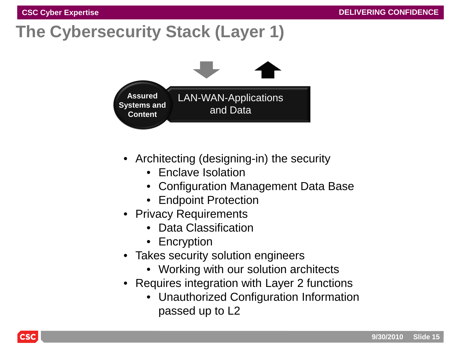# **The Cybersecurity Stack (Layer 1)**

![](_page_14_Figure_3.jpeg)

- Architecting (designing-in) the security
	- Enclave Isolation
	- Configuration Management Data Base
	- Endpoint Protection
- Privacy Requirements
	- Data Classification
	- Encryption
- Takes security solution engineers
	- Working with our solution architects
- Requires integration with Layer 2 functions
	- Unauthorized Configuration Information passed up to L2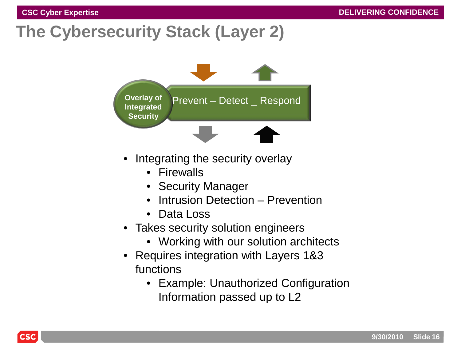# **The Cybersecurity Stack (Layer 2)**

![](_page_15_Figure_3.jpeg)

- Integrating the security overlay
	- Firewalls
	- Security Manager
	- Intrusion Detection Prevention
	- Data Loss
- Takes security solution engineers
	- Working with our solution architects
- Requires integration with Layers 1&3 functions
	- Example: Unauthorized Configuration Information passed up to L2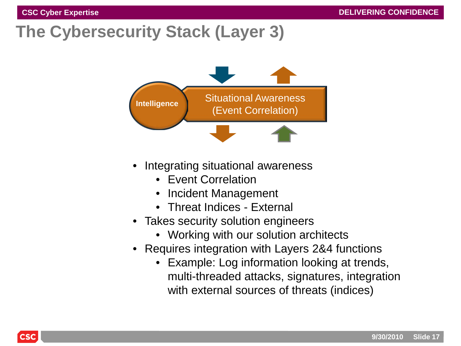# **The Cybersecurity Stack (Layer 3)**

![](_page_16_Figure_3.jpeg)

- Integrating situational awareness
	- Event Correlation
	- Incident Management
	- Threat Indices External
- Takes security solution engineers
	- Working with our solution architects
- Requires integration with Layers 2&4 functions
	- Example: Log information looking at trends, multi-threaded attacks, signatures, integration with external sources of threats (indices)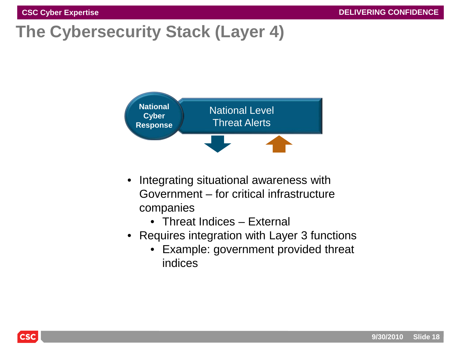# **The Cybersecurity Stack (Layer 4)**

![](_page_17_Figure_3.jpeg)

- Integrating situational awareness with Government – for critical infrastructure companies
	- Threat Indices External
- Requires integration with Layer 3 functions
	- Example: government provided threat indices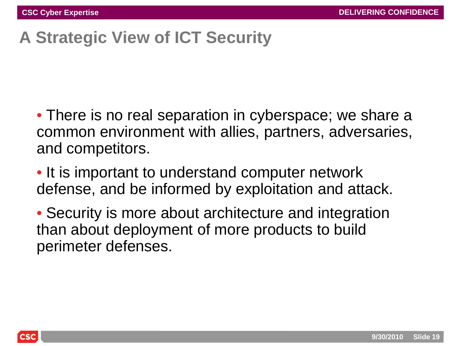# **A Strategic View of ICT Security**

• There is no real separation in cyberspace; we share a common environment with allies, partners, adversaries, and competitors.

• It is important to understand computer network defense, and be informed by exploitation and attack.

• Security is more about architecture and integration than about deployment of more products to build perimeter defenses.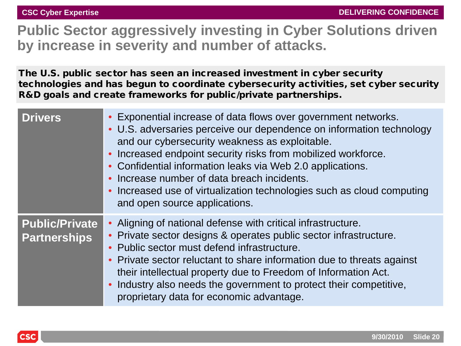#### **Public Sector aggressively investing in Cyber Solutions driven by increase in severity and number of attacks.**

The U.S. public sector has seen an increased investment in cyber security technologies and has begun to coordinate cybersecurity activities, set cyber security R&D goals and create frameworks for public/private partnerships.

| <b>Drivers</b>                               | • Exponential increase of data flows over government networks.<br>• U.S. adversaries perceive our dependence on information technology<br>and our cybersecurity weakness as exploitable.<br>• Increased endpoint security risks from mobilized workforce.<br>• Confidential information leaks via Web 2.0 applications.<br>• Increase number of data breach incidents.<br>• Increased use of virtualization technologies such as cloud computing<br>and open source applications. |
|----------------------------------------------|-----------------------------------------------------------------------------------------------------------------------------------------------------------------------------------------------------------------------------------------------------------------------------------------------------------------------------------------------------------------------------------------------------------------------------------------------------------------------------------|
| <b>Public/Private</b><br><b>Partnerships</b> | • Aligning of national defense with critical infrastructure.<br>• Private sector designs & operates public sector infrastructure.<br>• Public sector must defend infrastructure.<br>• Private sector reluctant to share information due to threats against<br>their intellectual property due to Freedom of Information Act.<br>• Industry also needs the government to protect their competitive,<br>proprietary data for economic advantage.                                    |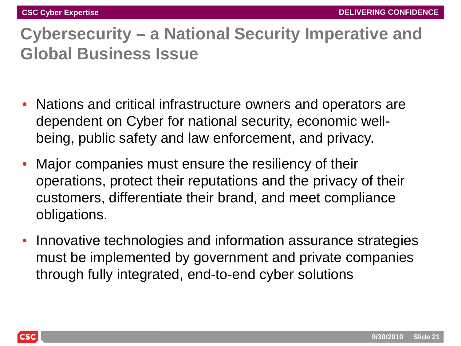# **Cybersecurity – a National Security Imperative and Global Business Issue**

- Nations and critical infrastructure owners and operators are dependent on Cyber for national security, economic wellbeing, public safety and law enforcement, and privacy.
- Major companies must ensure the resiliency of their operations, protect their reputations and the privacy of their customers, differentiate their brand, and meet compliance obligations.
- Innovative technologies and information assurance strategies must be implemented by government and private companies through fully integrated, end-to-end cyber solutions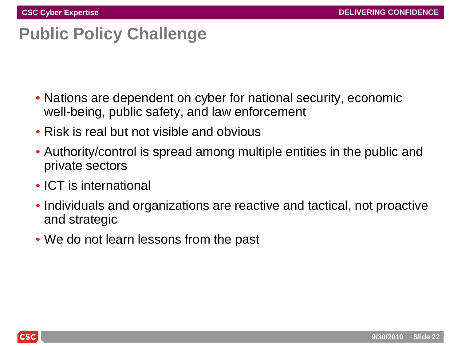## **Public Policy Challenge**

- Nations are dependent on cyber for national security, economic well-being, public safety, and law enforcement
- Risk is real but not visible and obvious
- Authority/control is spread among multiple entities in the public and private sectors
- ICT is international
- Individuals and organizations are reactive and tactical, not proactive and strategic
- We do not learn lessons from the past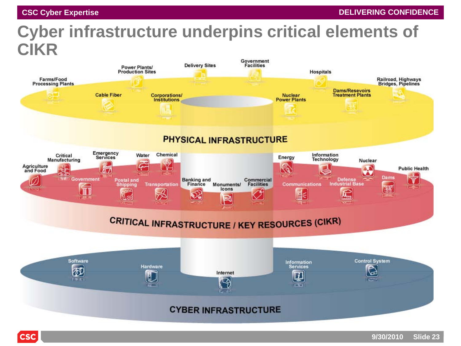**CSC** 

# **Cyber infrastructure underpins critical elements of CIKR**

![](_page_22_Figure_3.jpeg)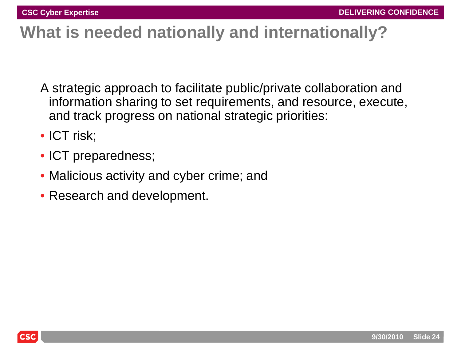## **What is needed nationally and internationally?**

- A strategic approach to facilitate public/private collaboration and information sharing to set requirements, and resource, execute, and track progress on national strategic priorities:
- ICT risk;
- ICT preparedness;
- Malicious activity and cyber crime; and
- Research and development.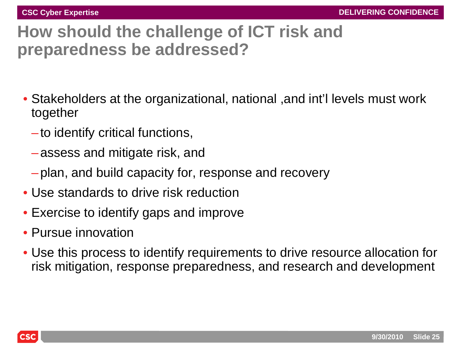## **How should the challenge of ICT risk and preparedness be addressed?**

- Stakeholders at the organizational, national ,and int'l levels must work together
	- –to identify critical functions,
	- –assess and mitigate risk, and
	- –plan, and build capacity for, response and recovery
- Use standards to drive risk reduction
- Exercise to identify gaps and improve
- Pursue innovation
- Use this process to identify requirements to drive resource allocation for risk mitigation, response preparedness, and research and development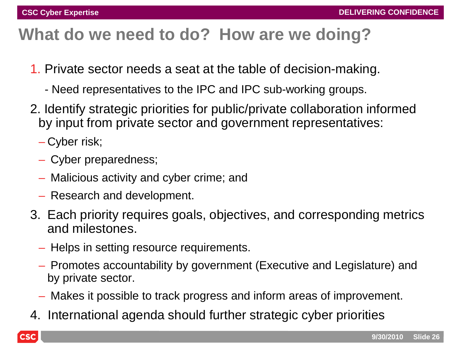## **What do we need to do? How are we doing?**

- 1. Private sector needs a seat at the table of decision-making.
	- Need representatives to the IPC and IPC sub-working groups.
- 2. Identify strategic priorities for public/private collaboration informed by input from private sector and government representatives:
	- Cyber risk;
	- Cyber preparedness;
	- Malicious activity and cyber crime; and
	- Research and development.
- 3. Each priority requires goals, objectives, and corresponding metrics and milestones.
	- Helps in setting resource requirements.
	- Promotes accountability by government (Executive and Legislature) and by private sector.
	- Makes it possible to track progress and inform areas of improvement.
- 4. International agenda should further strategic cyber priorities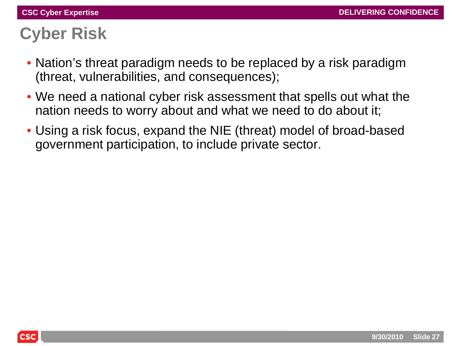## **Cyber Risk**

- Nation's threat paradigm needs to be replaced by a risk paradigm (threat, vulnerabilities, and consequences);
- We need a national cyber risk assessment that spells out what the nation needs to worry about and what we need to do about it;
- Using a risk focus, expand the NIE (threat) model of broad-based government participation, to include private sector.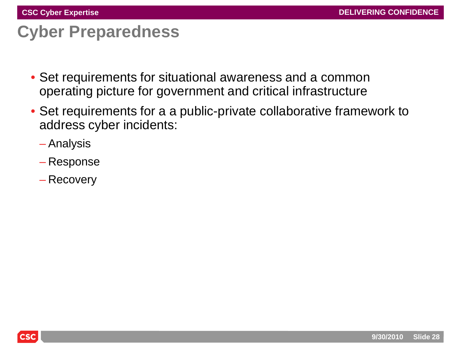### **Cyber Preparedness**

- Set requirements for situational awareness and a common operating picture for government and critical infrastructure
- Set requirements for a a public-private collaborative framework to address cyber incidents:
	- Analysis
	- Response
	- Recovery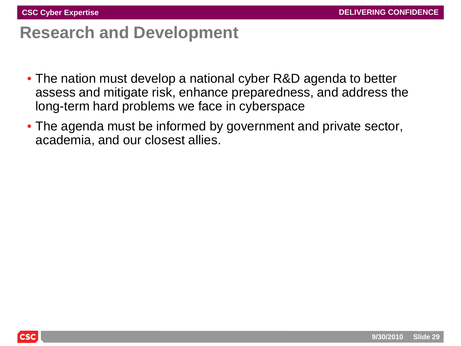#### **Research and Development**

- The nation must develop a national cyber R&D agenda to better assess and mitigate risk, enhance preparedness, and address the long-term hard problems we face in cyberspace
- The agenda must be informed by government and private sector, academia, and our closest allies.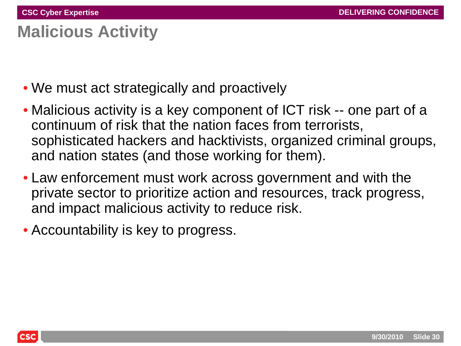## **Malicious Activity**

- We must act strategically and proactively
- Malicious activity is a key component of ICT risk -- one part of a continuum of risk that the nation faces from terrorists, sophisticated hackers and hacktivists, organized criminal groups, and nation states (and those working for them).
- Law enforcement must work across government and with the private sector to prioritize action and resources, track progress, and impact malicious activity to reduce risk.
- Accountability is key to progress.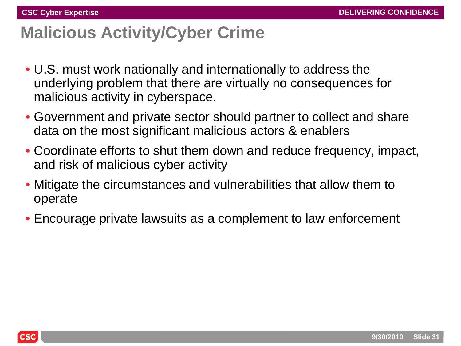### **Malicious Activity/Cyber Crime**

- U.S. must work nationally and internationally to address the underlying problem that there are virtually no consequences for malicious activity in cyberspace.
- Government and private sector should partner to collect and share data on the most significant malicious actors & enablers
- Coordinate efforts to shut them down and reduce frequency, impact, and risk of malicious cyber activity
- Mitigate the circumstances and vulnerabilities that allow them to operate
- Encourage private lawsuits as a complement to law enforcement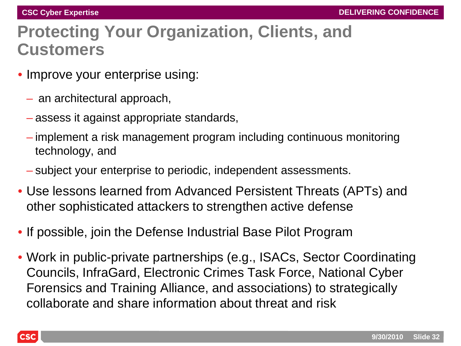#### **Protecting Your Organization, Clients, and Customers**

- Improve your enterprise using:
	- an architectural approach,
	- assess it against appropriate standards,
	- implement a risk management program including continuous monitoring technology, and
	- subject your enterprise to periodic, independent assessments.
- Use lessons learned from Advanced Persistent Threats (APTs) and other sophisticated attackers to strengthen active defense
- If possible, join the Defense Industrial Base Pilot Program
- Work in public-private partnerships (e.g., ISACs, Sector Coordinating Councils, InfraGard, Electronic Crimes Task Force, National Cyber Forensics and Training Alliance, and associations) to strategically collaborate and share information about threat and risk